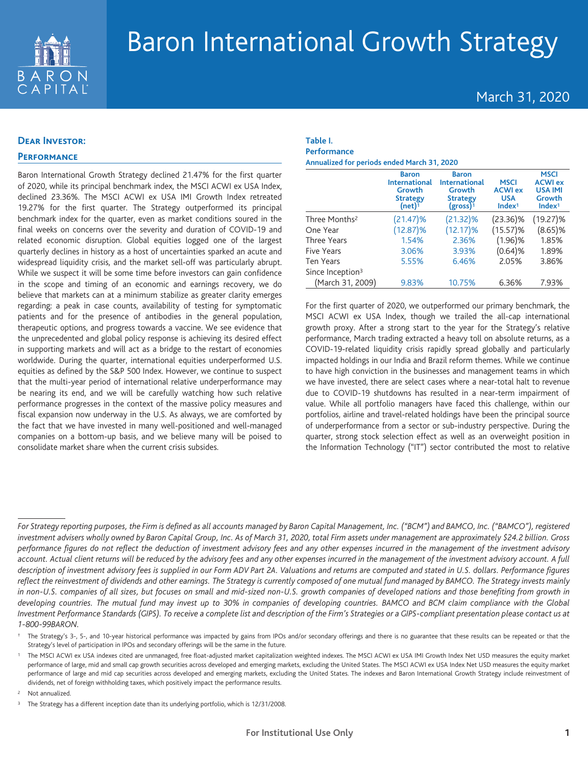

# March 31, 2020

## **Dear Investor:**

## **Performance**

Baron International Growth Strategy declined 21.47% for the first quarter of 2020, while its principal benchmark index, the MSCI ACWI ex USA Index, declined 23.36%. The MSCI ACWI ex USA IMI Growth Index retreated 19.27% for the first quarter. The Strategy outperformed its principal benchmark index for the quarter, even as market conditions soured in the final weeks on concerns over the severity and duration of COVID-19 and related economic disruption. Global equities logged one of the largest quarterly declines in history as a host of uncertainties sparked an acute and widespread liquidity crisis, and the market sell-off was particularly abrupt. While we suspect it will be some time before investors can gain confidence in the scope and timing of an economic and earnings recovery, we do believe that markets can at a minimum stabilize as greater clarity emerges regarding: a peak in case counts, availability of testing for symptomatic patients and for the presence of antibodies in the general population, therapeutic options, and progress towards a vaccine. We see evidence that the unprecedented and global policy response is achieving its desired effect in supporting markets and will act as a bridge to the restart of economies worldwide. During the quarter, international equities underperformed U.S. equities as defined by the S&P 500 Index. However, we continue to suspect that the multi-year period of international relative underperformance may be nearing its end, and we will be carefully watching how such relative performance progresses in the context of the massive policy measures and fiscal expansion now underway in the U.S. As always, we are comforted by the fact that we have invested in many well-positioned and well-managed companies on a bottom-up basis, and we believe many will be poised to consolidate market share when the current crisis subsides.

#### **Table I. Performance Annualized for periods ended March 31, 2020**

|                              | <b>Baron</b><br><b>International</b><br>Growth<br><b>Strategy</b><br>(net) <sup>1</sup> | <b>Baron</b><br><b>International</b><br>Growth<br><b>Strategy</b><br>$(gross)^1$ | <b>MSCI</b><br><b>ACWI ex</b><br><b>USA</b><br>Index <sup>1</sup> | <b>MSCI</b><br><b>ACWI ex</b><br><b>USA IMI</b><br>Growth<br>Index <sup>1</sup> |
|------------------------------|-----------------------------------------------------------------------------------------|----------------------------------------------------------------------------------|-------------------------------------------------------------------|---------------------------------------------------------------------------------|
| Three Months <sup>2</sup>    | $(21.47)\%$                                                                             | $(21.32)\%$                                                                      | $(23.36)\%$                                                       | $(19.27)\%$                                                                     |
| One Year                     | $(12.87)\%$                                                                             | $(12.17)\%$                                                                      | $(15.57)\%$                                                       | $(8.65)$ %                                                                      |
| Three Years                  | 1.54%                                                                                   | 2.36%                                                                            | $(1.96)$ %                                                        | 1.85%                                                                           |
| Five Years                   | 3.06%                                                                                   | 3.93%                                                                            | (0.64)%                                                           | 1.89%                                                                           |
| <b>Ten Years</b>             | 5.55%                                                                                   | 6.46%                                                                            | 2.05%                                                             | 3.86%                                                                           |
| Since Inception <sup>3</sup> |                                                                                         |                                                                                  |                                                                   |                                                                                 |
| (March 31, 2009)             | 9.83%                                                                                   | 10.75%                                                                           | 6.36%                                                             | 7.93%                                                                           |

For the first quarter of 2020, we outperformed our primary benchmark, the MSCI ACWI ex USA Index, though we trailed the all-cap international growth proxy. After a strong start to the year for the Strategy's relative performance, March trading extracted a heavy toll on absolute returns, as a COVID-19-related liquidity crisis rapidly spread globally and particularly impacted holdings in our India and Brazil reform themes. While we continue to have high conviction in the businesses and management teams in which we have invested, there are select cases where a near-total halt to revenue due to COVID-19 shutdowns has resulted in a near-term impairment of value. While all portfolio managers have faced this challenge, within our portfolios, airline and travel-related holdings have been the principal source of underperformance from a sector or sub-industry perspective. During the quarter, strong stock selection effect as well as an overweight position in the Information Technology ("IT") sector contributed the most to relative

<sup>2</sup> Not annualized.

*For Strategy reporting purposes, the Firm is defined as all accounts managed by Baron Capital Management, Inc. ("BCM") and BAMCO, Inc. ("BAMCO"), registered investment advisers wholly owned by Baron Capital Group, Inc. As of March 31, 2020, total Firm assets under management are approximately \$24.2 billion. Gross performance figures do not reflect the deduction of investment advisory fees and any other expenses incurred in the management of the investment advisory account. Actual client returns will be reduced by the advisory fees and any other expenses incurred in the management of the investment advisory account. A full description of investment advisory fees is supplied in our Form ADV Part 2A. Valuations and returns are computed and stated in U.S. dollars. Performance figures reflect the reinvestment of dividends and other earnings. The Strategy is currently composed of one mutual fund managed by BAMCO. The Strategy invests mainly in non-U.S. companies of all sizes, but focuses on small and mid-sized non-U.S. growth companies of developed nations and those benefiting from growth in developing countries. The mutual fund may invest up to 30% in companies of developing countries. BAMCO and BCM claim compliance with the Global Investment Performance Standards (GIPS). To receive a complete list and description of the Firm's Strategies or a GIPS-compliant presentation please contact us at 1-800-99BARON.*

<sup>†</sup> The Strategy's 3-, 5-, and 10-year historical performance was impacted by gains from IPOs and/or secondary offerings and there is no guarantee that these results can be repeated or that the Strategy's level of participation in IPOs and secondary offerings will be the same in the future.

<sup>1</sup> The MSCI ACWI ex USA indexes cited are unmanaged, free float-adjusted market capitalization weighted indexes. The MSCI ACWI ex USA IMI Growth Index Net USD measures the equity market performance of large, mid and small cap growth securities across developed and emerging markets, excluding the United States. The MSCI ACWI ex USA Index Net USD measures the equity market performance of large and mid cap securities across developed and emerging markets, excluding the United States. The indexes and Baron International Growth Strategy include reinvestment of dividends, net of foreign withholding taxes, which positively impact the performance results.

<sup>&</sup>lt;sup>3</sup> The Strategy has a different inception date than its underlying portfolio, which is 12/31/2008.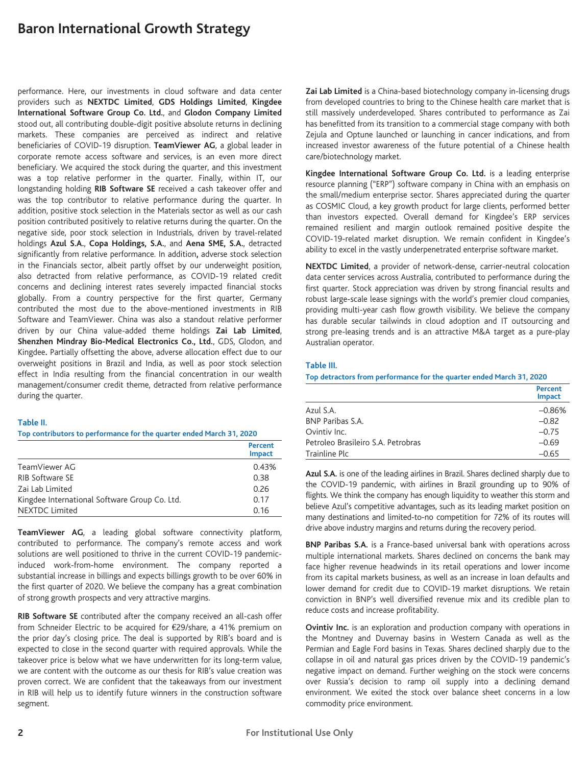performance. Here, our investments in cloud software and data center providers such as **NEXTDC Limited**, **GDS Holdings Limited**, **Kingdee International Software Group Co. Ltd.**, and **Glodon Company Limited** stood out, all contributing double-digit positive absolute returns in declining markets. These companies are perceived as indirect and relative beneficiaries of COVID-19 disruption. **TeamViewer AG**, a global leader in corporate remote access software and services, is an even more direct beneficiary. We acquired the stock during the quarter, and this investment was a top relative performer in the quarter. Finally, within IT, our longstanding holding **RIB Software SE** received a cash takeover offer and was the top contributor to relative performance during the quarter. In addition, positive stock selection in the Materials sector as well as our cash position contributed positively to relative returns during the quarter. On the negative side, poor stock selection in Industrials, driven by travel-related holdings **Azul S.A.**, **Copa Holdings, S.A.**, and **Aena SME, S.A.**, detracted significantly from relative performance. In addition**,** adverse stock selection in the Financials sector, albeit partly offset by our underweight position, also detracted from relative performance, as COVID-19 related credit concerns and declining interest rates severely impacted financial stocks globally. From a country perspective for the first quarter, Germany contributed the most due to the above-mentioned investments in RIB Software and TeamViewer. China was also a standout relative performer driven by our China value-added theme holdings **Zai Lab Limited**, **Shenzhen Mindray Bio-Medical Electronics Co., Ltd.**, GDS, Glodon, and Kingdee**.** Partially offsetting the above, adverse allocation effect due to our overweight positions in Brazil and India, as well as poor stock selection effect in India resulting from the financial concentration in our wealth management/consumer credit theme, detracted from relative performance during the quarter.

#### **Table II.**

#### **Top contributors to performance for the quarter ended March 31, 2020**

|                                               | Percent<br><b>Impact</b> |
|-----------------------------------------------|--------------------------|
| TeamViewer AG                                 | 0.43%                    |
| RIB Software SE                               | 0.38                     |
| Zai Lab Limited                               | 0.26                     |
| Kingdee International Software Group Co. Ltd. | 0.17                     |
| <b>NEXTDC Limited</b>                         | 0.16                     |

**TeamViewer AG**, a leading global software connectivity platform, contributed to performance. The company's remote access and work solutions are well positioned to thrive in the current COVID-19 pandemicinduced work-from-home environment. The company reported a substantial increase in billings and expects billings growth to be over 60% in the first quarter of 2020. We believe the company has a great combination of strong growth prospects and very attractive margins.

**RIB Software SE** contributed after the company received an all-cash offer from Schneider Electric to be acquired for €29/share, a 41% premium on the prior day's closing price. The deal is supported by RIB's board and is expected to close in the second quarter with required approvals. While the takeover price is below what we have underwritten for its long-term value, we are content with the outcome as our thesis for RIB's value creation was proven correct. We are confident that the takeaways from our investment in RIB will help us to identify future winners in the construction software segment.

**Zai Lab Limited** is a China-based biotechnology company in-licensing drugs from developed countries to bring to the Chinese health care market that is still massively underdeveloped. Shares contributed to performance as Zai has benefitted from its transition to a commercial stage company with both Zejula and Optune launched or launching in cancer indications, and from increased investor awareness of the future potential of a Chinese health care/biotechnology market.

**Kingdee International Software Group Co. Ltd.** is a leading enterprise resource planning ("ERP") software company in China with an emphasis on the small/medium enterprise sector. Shares appreciated during the quarter as COSMIC Cloud, a key growth product for large clients, performed better than investors expected. Overall demand for Kingdee's ERP services remained resilient and margin outlook remained positive despite the COVID-19-related market disruption. We remain confident in Kingdee's ability to excel in the vastly underpenetrated enterprise software market.

**NEXTDC Limited**, a provider of network-dense, carrier-neutral colocation data center services across Australia, contributed to performance during the first quarter. Stock appreciation was driven by strong financial results and robust large-scale lease signings with the world's premier cloud companies, providing multi-year cash flow growth visibility. We believe the company has durable secular tailwinds in cloud adoption and IT outsourcing and strong pre-leasing trends and is an attractive M&A target as a pure-play Australian operator.

#### **Table III.**

#### **Top detractors from performance for the quarter ended March 31, 2020**

|                                    | Percent<br><b>Impact</b> |
|------------------------------------|--------------------------|
| Azul S.A.                          | $-0.86%$                 |
| <b>BNP Paribas S.A.</b>            | $-0.82$                  |
| Ovintiv Inc.                       | $-0.75$                  |
| Petroleo Brasileiro S.A. Petrobras | $-0.69$                  |
| Trainline Plc                      | $-0.65$                  |

**Azul S.A.** is one of the leading airlines in Brazil. Shares declined sharply due to the COVID-19 pandemic, with airlines in Brazil grounding up to 90% of flights. We think the company has enough liquidity to weather this storm and believe Azul's competitive advantages, such as its leading market position on many destinations and limited-to-no competition for 72% of its routes will drive above industry margins and returns during the recovery period.

**BNP Paribas S.A.** is a France-based universal bank with operations across multiple international markets. Shares declined on concerns the bank may face higher revenue headwinds in its retail operations and lower income from its capital markets business, as well as an increase in loan defaults and lower demand for credit due to COVID-19 market disruptions. We retain conviction in BNP's well diversified revenue mix and its credible plan to reduce costs and increase profitability.

**Ovintiv Inc.** is an exploration and production company with operations in the Montney and Duvernay basins in Western Canada as well as the Permian and Eagle Ford basins in Texas. Shares declined sharply due to the collapse in oil and natural gas prices driven by the COVID-19 pandemic's negative impact on demand. Further weighing on the stock were concerns over Russia's decision to ramp oil supply into a declining demand environment. We exited the stock over balance sheet concerns in a low commodity price environment.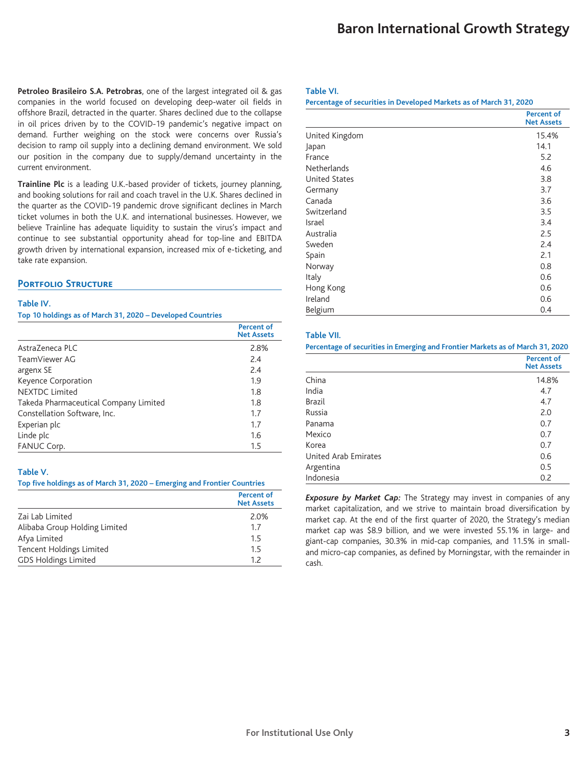**Petroleo Brasileiro S.A. Petrobras**, one of the largest integrated oil & gas companies in the world focused on developing deep-water oil fields in offshore Brazil, detracted in the quarter. Shares declined due to the collapse in oil prices driven by to the COVID-19 pandemic's negative impact on demand. Further weighing on the stock were concerns over Russia's decision to ramp oil supply into a declining demand environment. We sold our position in the company due to supply/demand uncertainty in the current environment.

**Trainline Plc** is a leading U.K.-based provider of tickets, journey planning, and booking solutions for rail and coach travel in the U.K. Shares declined in the quarter as the COVID-19 pandemic drove significant declines in March ticket volumes in both the U.K. and international businesses. However, we believe Trainline has adequate liquidity to sustain the virus's impact and continue to see substantial opportunity ahead for top-line and EBITDA growth driven by international expansion, increased mix of e-ticketing, and take rate expansion.

## **PORTFOLIO STRUCTURE**

#### **Table IV.**

#### **Top 10 holdings as of March 31, 2020 – Developed Countries**

|                                       | <b>Percent of</b><br><b>Net Assets</b> |
|---------------------------------------|----------------------------------------|
| AstraZeneca PLC                       | 2.8%                                   |
| TeamViewer AG                         | 2.4                                    |
| argenx SE                             | 2.4                                    |
| Keyence Corporation                   | 1.9                                    |
| <b>NEXTDC Limited</b>                 | 1.8                                    |
| Takeda Pharmaceutical Company Limited | 1.8                                    |
| Constellation Software, Inc.          | 1.7                                    |
| Experian plc                          | 1.7                                    |
| Linde plc                             | 1.6                                    |
| FANUC Corp.                           | 1.5                                    |

#### **Table V.**

#### **Top five holdings as of March 31, 2020 – Emerging and Frontier Countries**

|                               | <b>Percent of</b><br><b>Net Assets</b> |
|-------------------------------|----------------------------------------|
| Zai Lab Limited               | 2.0%                                   |
| Alibaba Group Holding Limited | 1.7                                    |
| Afya Limited                  | 1.5                                    |
| Tencent Holdings Limited      | 1.5                                    |
| <b>GDS Holdings Limited</b>   | 12                                     |

#### **Table VI.**

#### **Percentage of securities in Developed Markets as of March 31, 2020**

|                      | <b>Percent of</b><br><b>Net Assets</b> |
|----------------------|----------------------------------------|
| United Kingdom       | 15.4%                                  |
| Japan                | 14.1                                   |
| France               | 5.2                                    |
| <b>Netherlands</b>   | 4.6                                    |
| <b>United States</b> | 3.8                                    |
| Germany              | 3.7                                    |
| Canada               | 3.6                                    |
| Switzerland          | 3.5                                    |
| Israel               | 3.4                                    |
| Australia            | 2.5                                    |
| Sweden               | 2.4                                    |
| Spain                | 2.1                                    |
| Norway               | 0.8                                    |
| Italy                | 0.6                                    |
| Hong Kong            | 0.6                                    |
| Ireland              | 0.6                                    |
| Belgium              | 0.4                                    |

#### **Table VII.**

#### **Percentage of securities in Emerging and Frontier Markets as of March 31, 2020**

|                      | <b>Percent of</b><br><b>Net Assets</b> |
|----------------------|----------------------------------------|
| China                | 14.8%                                  |
| India                | 4.7                                    |
| <b>Brazil</b>        | 4.7                                    |
| Russia               | 2.0                                    |
| Panama               | 0.7                                    |
| Mexico               | 0.7                                    |
| Korea                | 0.7                                    |
| United Arab Emirates | 0.6                                    |
| Argentina            | 0.5                                    |
| Indonesia            | 0.2                                    |

*Exposure by Market Cap:* The Strategy may invest in companies of any market capitalization, and we strive to maintain broad diversification by market cap. At the end of the first quarter of 2020, the Strategy's median market cap was \$8.9 billion, and we were invested 55.1% in large- and giant-cap companies, 30.3% in mid-cap companies, and 11.5% in smalland micro-cap companies, as defined by Morningstar, with the remainder in cash.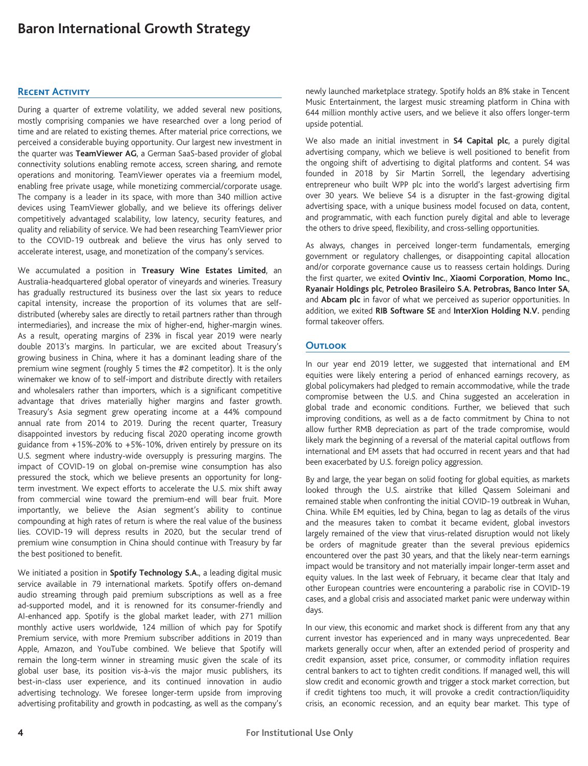#### **Recent Activity**

During a quarter of extreme volatility, we added several new positions, mostly comprising companies we have researched over a long period of time and are related to existing themes. After material price corrections, we perceived a considerable buying opportunity. Our largest new investment in the quarter was **TeamViewer AG**, a German SaaS-based provider of global connectivity solutions enabling remote access, screen sharing, and remote operations and monitoring. TeamViewer operates via a freemium model, enabling free private usage, while monetizing commercial/corporate usage. The company is a leader in its space, with more than 340 million active devices using TeamViewer globally, and we believe its offerings deliver competitively advantaged scalability, low latency, security features, and quality and reliability of service. We had been researching TeamViewer prior to the COVID-19 outbreak and believe the virus has only served to accelerate interest, usage, and monetization of the company's services.

We accumulated a position in **Treasury Wine Estates Limited**, an Australia-headquartered global operator of vineyards and wineries. Treasury has gradually restructured its business over the last six years to reduce capital intensity, increase the proportion of its volumes that are selfdistributed (whereby sales are directly to retail partners rather than through intermediaries), and increase the mix of higher-end, higher-margin wines. As a result, operating margins of 23% in fiscal year 2019 were nearly double 2013's margins. In particular, we are excited about Treasury's growing business in China, where it has a dominant leading share of the premium wine segment (roughly 5 times the #2 competitor). It is the only winemaker we know of to self-import and distribute directly with retailers and wholesalers rather than importers, which is a significant competitive advantage that drives materially higher margins and faster growth. Treasury's Asia segment grew operating income at a 44% compound annual rate from 2014 to 2019. During the recent quarter, Treasury disappointed investors by reducing fiscal 2020 operating income growth guidance from +15%-20% to +5%-10%, driven entirely by pressure on its U.S. segment where industry-wide oversupply is pressuring margins. The impact of COVID-19 on global on-premise wine consumption has also pressured the stock, which we believe presents an opportunity for longterm investment. We expect efforts to accelerate the U.S. mix shift away from commercial wine toward the premium-end will bear fruit. More importantly, we believe the Asian segment's ability to continue compounding at high rates of return is where the real value of the business lies. COVID-19 will depress results in 2020, but the secular trend of premium wine consumption in China should continue with Treasury by far the best positioned to benefit.

We initiated a position in **Spotify Technology S.A.**, a leading digital music service available in 79 international markets. Spotify offers on-demand audio streaming through paid premium subscriptions as well as a free ad-supported model, and it is renowned for its consumer-friendly and AI-enhanced app. Spotify is the global market leader, with 271 million monthly active users worldwide, 124 million of which pay for Spotify Premium service, with more Premium subscriber additions in 2019 than Apple, Amazon, and YouTube combined. We believe that Spotify will remain the long-term winner in streaming music given the scale of its global user base, its position vis-à-vis the major music publishers, its best-in-class user experience, and its continued innovation in audio advertising technology. We foresee longer-term upside from improving advertising profitability and growth in podcasting, as well as the company's newly launched marketplace strategy. Spotify holds an 8% stake in Tencent Music Entertainment, the largest music streaming platform in China with 644 million monthly active users, and we believe it also offers longer-term upside potential.

We also made an initial investment in **S4 Capital plc**, a purely digital advertising company, which we believe is well positioned to benefit from the ongoing shift of advertising to digital platforms and content. S4 was founded in 2018 by Sir Martin Sorrell, the legendary advertising entrepreneur who built WPP plc into the world's largest advertising firm over 30 years. We believe S4 is a disrupter in the fast-growing digital advertising space, with a unique business model focused on data, content, and programmatic, with each function purely digital and able to leverage the others to drive speed, flexibility, and cross-selling opportunities.

As always, changes in perceived longer-term fundamentals, emerging government or regulatory challenges, or disappointing capital allocation and/or corporate governance cause us to reassess certain holdings. During the first quarter, we exited **Ovintiv Inc.**, **Xiaomi Corporation**, **Momo Inc.**, **Ryanair Holdings plc**, **Petroleo Brasileiro S.A. Petrobras, Banco Inter SA**, and **Abcam plc** in favor of what we perceived as superior opportunities. In addition, we exited **RIB Software SE** and **InterXion Holding N.V.** pending formal takeover offers.

## **Outlook**

In our year end 2019 letter, we suggested that international and EM equities were likely entering a period of enhanced earnings recovery, as global policymakers had pledged to remain accommodative, while the trade compromise between the U.S. and China suggested an acceleration in global trade and economic conditions. Further, we believed that such improving conditions, as well as a de facto commitment by China to not allow further RMB depreciation as part of the trade compromise, would likely mark the beginning of a reversal of the material capital outflows from international and EM assets that had occurred in recent years and that had been exacerbated by U.S. foreign policy aggression.

By and large, the year began on solid footing for global equities, as markets looked through the U.S. airstrike that killed Qassem Soleimani and remained stable when confronting the initial COVID-19 outbreak in Wuhan, China. While EM equities, led by China, began to lag as details of the virus and the measures taken to combat it became evident, global investors largely remained of the view that virus-related disruption would not likely be orders of magnitude greater than the several previous epidemics encountered over the past 30 years, and that the likely near-term earnings impact would be transitory and not materially impair longer-term asset and equity values. In the last week of February, it became clear that Italy and other European countries were encountering a parabolic rise in COVID-19 cases, and a global crisis and associated market panic were underway within days.

In our view, this economic and market shock is different from any that any current investor has experienced and in many ways unprecedented. Bear markets generally occur when, after an extended period of prosperity and credit expansion, asset price, consumer, or commodity inflation requires central bankers to act to tighten credit conditions. If managed well, this will slow credit and economic growth and trigger a stock market correction, but if credit tightens too much, it will provoke a credit contraction/liquidity crisis, an economic recession, and an equity bear market. This type of